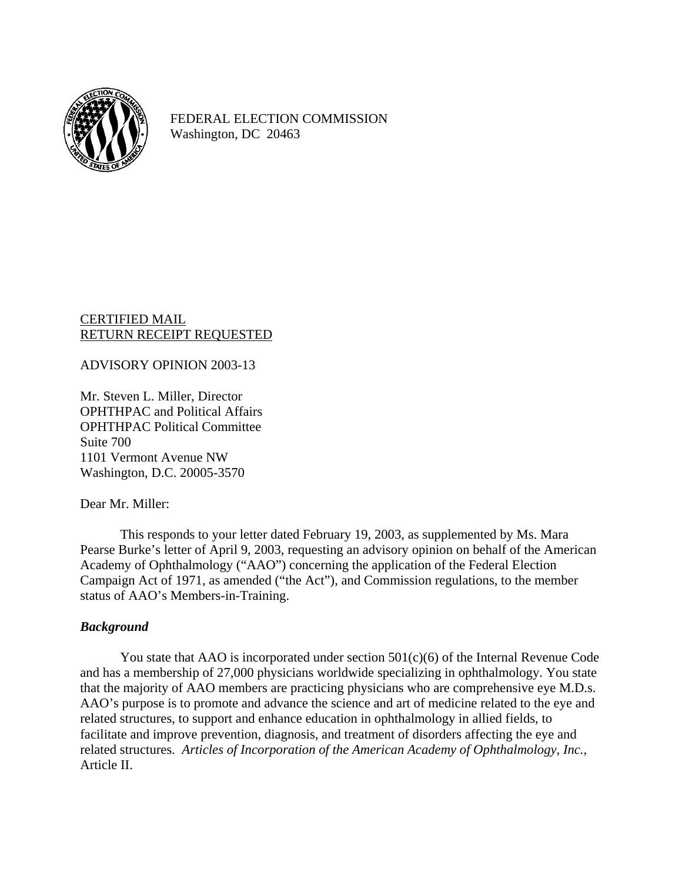

FEDERAL ELECTION COMMISSION Washington, DC 20463

CERTIFIED MAIL RETURN RECEIPT REQUESTED

## ADVISORY OPINION 2003-13

Mr. Steven L. Miller, Director OPHTHPAC and Political Affairs OPHTHPAC Political Committee Suite 700 1101 Vermont Avenue NW Washington, D.C. 20005-3570

#### Dear Mr. Miller:

This responds to your letter dated February 19, 2003, as supplemented by Ms. Mara Pearse Burke's letter of April 9, 2003, requesting an advisory opinion on behalf of the American Academy of Ophthalmology ("AAO") concerning the application of the Federal Election Campaign Act of 1971, as amended ("the Act"), and Commission regulations, to the member status of AAO's Members-in-Training.

## *Background*

You state that AAO is incorporated under section 501(c)(6) of the Internal Revenue Code and has a membership of 27,000 physicians worldwide specializing in ophthalmology. You state that the majority of AAO members are practicing physicians who are comprehensive eye M.D.s. AAO's purpose is to promote and advance the science and art of medicine related to the eye and related structures, to support and enhance education in ophthalmology in allied fields, to facilitate and improve prevention, diagnosis, and treatment of disorders affecting the eye and related structures. *Articles of Incorporation of the American Academy of Ophthalmology, Inc.,* Article II.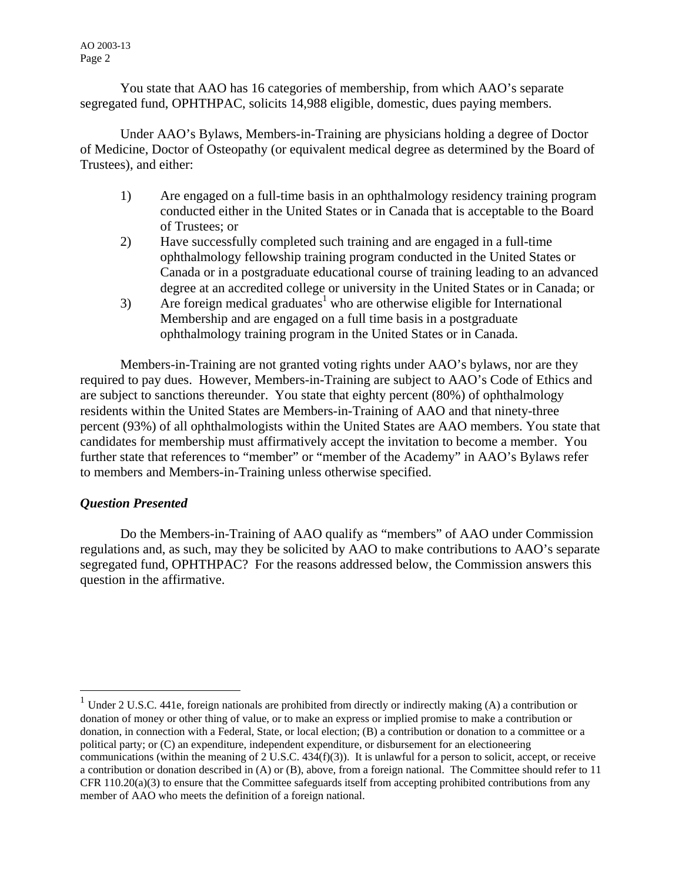AO 2003-13 Page 2

You state that AAO has 16 categories of membership, from which AAO's separate segregated fund, OPHTHPAC, solicits 14,988 eligible, domestic, dues paying members.

Under AAO's Bylaws, Members-in-Training are physicians holding a degree of Doctor of Medicine, Doctor of Osteopathy (or equivalent medical degree as determined by the Board of Trustees), and either:

- 1) Are engaged on a full-time basis in an ophthalmology residency training program conducted either in the United States or in Canada that is acceptable to the Board of Trustees; or
- 2) Have successfully completed such training and are engaged in a full-time ophthalmology fellowship training program conducted in the United States or Canada or in a postgraduate educational course of training leading to an advanced degree at an accredited college or university in the United States or in Canada; or
- $3$  Are foreign medical graduates<sup>[1](#page-1-0)</sup> who are otherwise eligible for International Membership and are engaged on a full time basis in a postgraduate ophthalmology training program in the United States or in Canada.

Members-in-Training are not granted voting rights under AAO's bylaws, nor are they required to pay dues. However, Members-in-Training are subject to AAO's Code of Ethics and are subject to sanctions thereunder. You state that eighty percent (80%) of ophthalmology residents within the United States are Members-in-Training of AAO and that ninety-three percent (93%) of all ophthalmologists within the United States are AAO members. You state that candidates for membership must affirmatively accept the invitation to become a member. You further state that references to "member" or "member of the Academy" in AAO's Bylaws refer to members and Members-in-Training unless otherwise specified.

# *Question Presented*

 $\overline{a}$ 

Do the Members-in-Training of AAO qualify as "members" of AAO under Commission regulations and, as such, may they be solicited by AAO to make contributions to AAO's separate segregated fund, OPHTHPAC? For the reasons addressed below, the Commission answers this question in the affirmative.

<span id="page-1-0"></span><sup>&</sup>lt;sup>1</sup> Under 2 U.S.C. 441e, foreign nationals are prohibited from directly or indirectly making (A) a contribution or donation of money or other thing of value, or to make an express or implied promise to make a contribution or donation, in connection with a Federal, State, or local election; (B) a contribution or donation to a committee or a political party; or (C) an expenditure, independent expenditure, or disbursement for an electioneering communications (within the meaning of  $2$  U.S.C. 434(f)(3)). It is unlawful for a person to solicit, accept, or receive a contribution or donation described in (A) or (B), above, from a foreign national. The Committee should refer to 11 CFR 110.20(a)(3) to ensure that the Committee safeguards itself from accepting prohibited contributions from any member of AAO who meets the definition of a foreign national.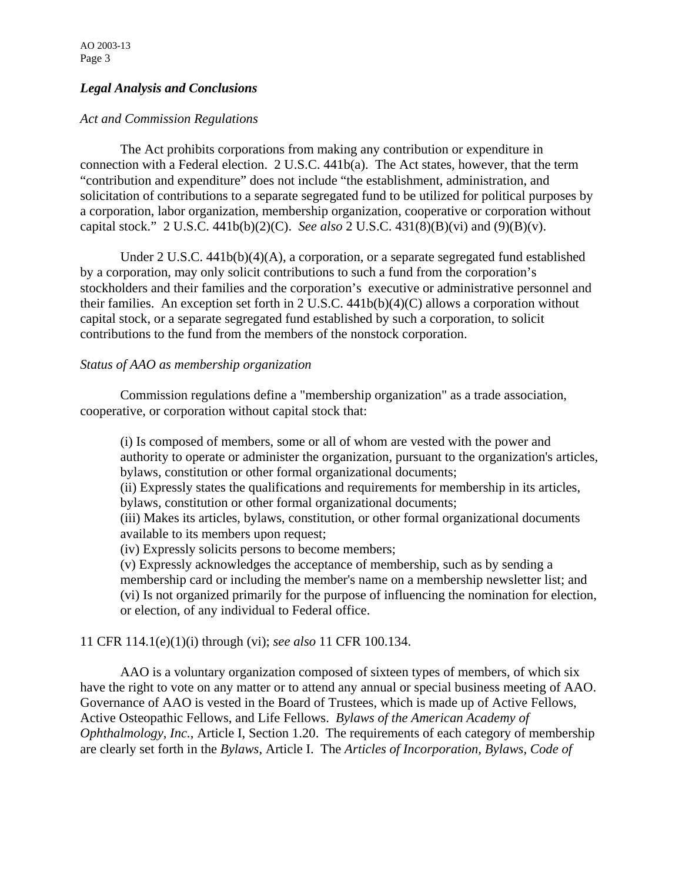# *Legal Analysis and Conclusions*

## *Act and Commission Regulations*

 The Act prohibits corporations from making any contribution or expenditure in connection with a Federal election. 2 U.S.C. 441b(a). The Act states, however, that the term "contribution and expenditure" does not include "the establishment, administration, and solicitation of contributions to a separate segregated fund to be utilized for political purposes by a corporation, labor organization, membership organization, cooperative or corporation without capital stock." 2 U.S.C. 441b(b)(2)(C). *See also* 2 U.S.C. 431(8)(B)(vi) and (9)(B)(v).

 Under 2 U.S.C. 441b(b)(4)(A), a corporation, or a separate segregated fund established by a corporation, may only solicit contributions to such a fund from the corporation's stockholders and their families and the corporation's executive or administrative personnel and their families. An exception set forth in 2 U.S.C. 441b(b)(4)(C) allows a corporation without capital stock, or a separate segregated fund established by such a corporation, to solicit contributions to the fund from the members of the nonstock corporation.

#### *Status of AAO as membership organization*

Commission regulations define a "membership organization" as a trade association, cooperative, or corporation without capital stock that:

(i) Is composed of members, some or all of whom are vested with the power and authority to operate or administer the organization, pursuant to the organization's articles, bylaws, constitution or other formal organizational documents;

(ii) Expressly states the qualifications and requirements for membership in its articles, bylaws, constitution or other formal organizational documents;

(iii) Makes its articles, bylaws, constitution, or other formal organizational documents available to its members upon request;

(iv) Expressly solicits persons to become members;

(v) Expressly acknowledges the acceptance of membership, such as by sending a membership card or including the member's name on a membership newsletter list; and (vi) Is not organized primarily for the purpose of influencing the nomination for election, or election, of any individual to Federal office.

## 11 CFR 114.1(e)(1)(i) through (vi); *see also* 11 CFR 100.134.

 AAO is a voluntary organization composed of sixteen types of members, of which six have the right to vote on any matter or to attend any annual or special business meeting of AAO. Governance of AAO is vested in the Board of Trustees, which is made up of Active Fellows, Active Osteopathic Fellows, and Life Fellows. *Bylaws of the American Academy of Ophthalmology, Inc.*, Article I, Section 1.20. The requirements of each category of membership are clearly set forth in the *Bylaws*, Article I. The *Articles of Incorporation, Bylaws*, *Code of*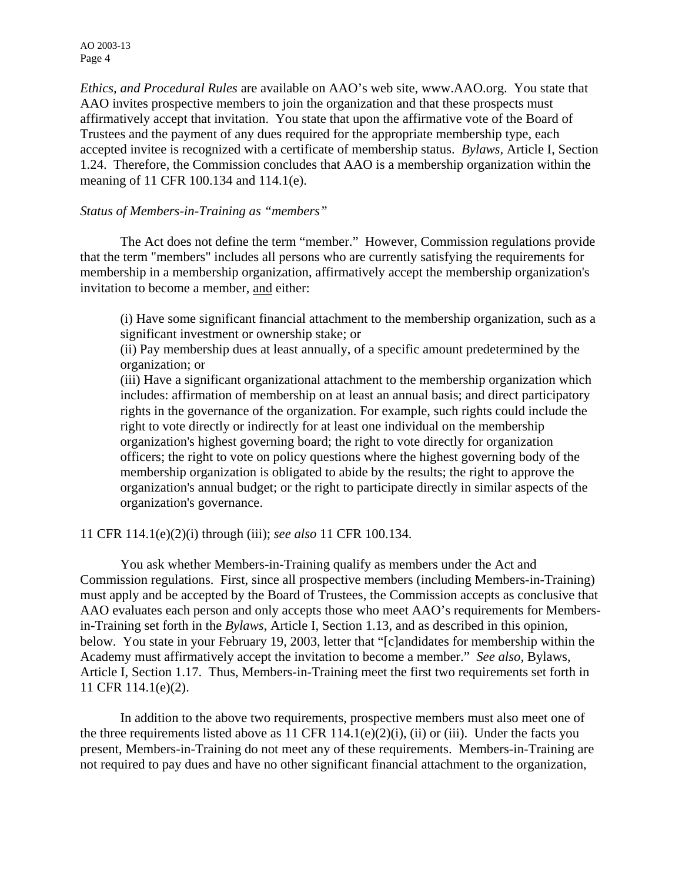AO 2003-13 Page 4

*Ethics, and Procedural Rules* are available on AAO's web site, www.AAO.org. You state that AAO invites prospective members to join the organization and that these prospects must affirmatively accept that invitation. You state that upon the affirmative vote of the Board of Trustees and the payment of any dues required for the appropriate membership type, each accepted invitee is recognized with a certificate of membership status. *Bylaws,* Article I, Section 1.24. Therefore, the Commission concludes that AAO is a membership organization within the meaning of 11 CFR 100.134 and 114.1(e).

### *Status of Members-in-Training as "members"*

The Act does not define the term "member." However, Commission regulations provide that the term "members" includes all persons who are currently satisfying the requirements for membership in a membership organization, affirmatively accept the membership organization's invitation to become a member, and either:

(i) Have some significant financial attachment to the membership organization, such as a significant investment or ownership stake; or

(ii) Pay membership dues at least annually, of a specific amount predetermined by the organization; or

(iii) Have a significant organizational attachment to the membership organization which includes: affirmation of membership on at least an annual basis; and direct participatory rights in the governance of the organization. For example, such rights could include the right to vote directly or indirectly for at least one individual on the membership organization's highest governing board; the right to vote directly for organization officers; the right to vote on policy questions where the highest governing body of the membership organization is obligated to abide by the results; the right to approve the organization's annual budget; or the right to participate directly in similar aspects of the organization's governance.

11 CFR 114.1(e)(2)(i) through (iii); *see also* 11 CFR 100.134.

 You ask whether Members-in-Training qualify as members under the Act and Commission regulations. First, since all prospective members (including Members-in-Training) must apply and be accepted by the Board of Trustees, the Commission accepts as conclusive that AAO evaluates each person and only accepts those who meet AAO's requirements for Membersin-Training set forth in the *Bylaws*, Article I, Section 1.13, and as described in this opinion, below. You state in your February 19, 2003, letter that "[c]andidates for membership within the Academy must affirmatively accept the invitation to become a member." *See also,* Bylaws, Article I, Section 1.17. Thus, Members-in-Training meet the first two requirements set forth in 11 CFR 114.1(e)(2).

 In addition to the above two requirements, prospective members must also meet one of the three requirements listed above as 11 CFR 114.1(e)(2)(i), (ii) or (iii). Under the facts you present, Members-in-Training do not meet any of these requirements. Members-in-Training are not required to pay dues and have no other significant financial attachment to the organization,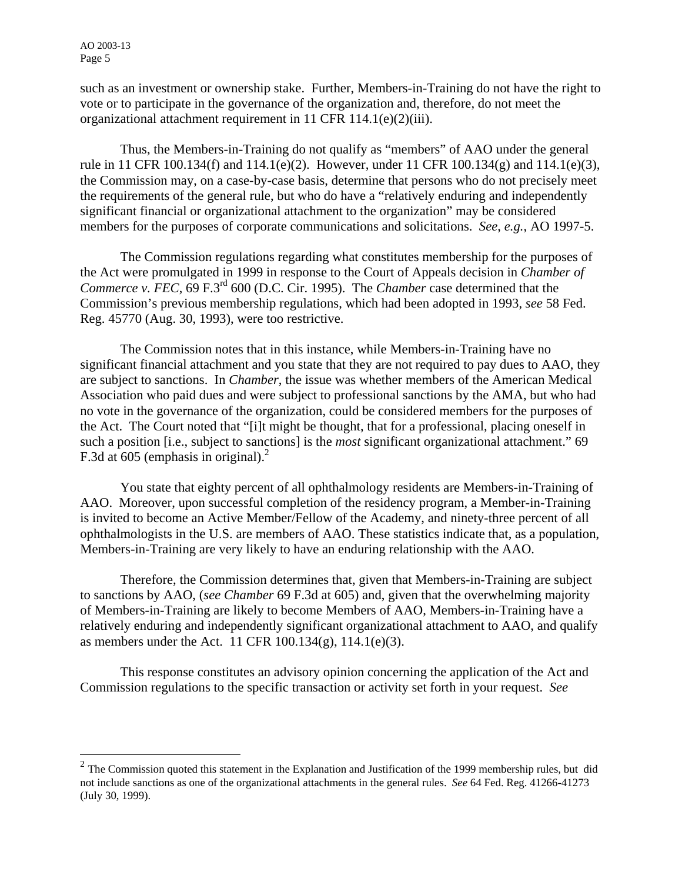$\overline{a}$ 

such as an investment or ownership stake. Further, Members-in-Training do not have the right to vote or to participate in the governance of the organization and, therefore, do not meet the organizational attachment requirement in 11 CFR 114.1(e)(2)(iii).

Thus, the Members-in-Training do not qualify as "members" of AAO under the general rule in 11 CFR 100.134(f) and 114.1(e)(2). However, under 11 CFR 100.134(g) and 114.1(e)(3), the Commission may, on a case-by-case basis, determine that persons who do not precisely meet the requirements of the general rule, but who do have a "relatively enduring and independently significant financial or organizational attachment to the organization" may be considered members for the purposes of corporate communications and solicitations. *See*, *e.g.*, AO 1997-5.

 The Commission regulations regarding what constitutes membership for the purposes of the Act were promulgated in 1999 in response to the Court of Appeals decision in *Chamber of Commerce v. FEC*, 69 F.3rd 600 (D.C. Cir. 1995). The *Chamber* case determined that the Commission's previous membership regulations, which had been adopted in 1993, *see* 58 Fed. Reg. 45770 (Aug. 30, 1993), were too restrictive.

 The Commission notes that in this instance, while Members-in-Training have no significant financial attachment and you state that they are not required to pay dues to AAO, they are subject to sanctions. In *Chamber*, the issue was whether members of the American Medical Association who paid dues and were subject to professional sanctions by the AMA, but who had no vote in the governance of the organization, could be considered members for the purposes of the Act. The Court noted that "[i]t might be thought, that for a professional, placing oneself in such a position [i.e., subject to sanctions] is the *most* significant organizational attachment." 69 F.3d at 605 (emphasis in original). $^2$  $^2$ 

You state that eighty percent of all ophthalmology residents are Members-in-Training of AAO. Moreover, upon successful completion of the residency program, a Member-in-Training is invited to become an Active Member/Fellow of the Academy, and ninety-three percent of all ophthalmologists in the U.S. are members of AAO. These statistics indicate that, as a population, Members-in-Training are very likely to have an enduring relationship with the AAO.

Therefore, the Commission determines that, given that Members-in-Training are subject to sanctions by AAO, (*see Chamber* 69 F.3d at 605) and, given that the overwhelming majority of Members-in-Training are likely to become Members of AAO, Members-in-Training have a relatively enduring and independently significant organizational attachment to AAO, and qualify as members under the Act. 11 CFR 100.134(g), 114.1(e)(3).

 This response constitutes an advisory opinion concerning the application of the Act and Commission regulations to the specific transaction or activity set forth in your request. *See*

<span id="page-4-0"></span> $2^2$  The Commission quoted this statement in the Explanation and Justification of the 1999 membership rules, but did not include sanctions as one of the organizational attachments in the general rules. *See* 64 Fed. Reg. 41266-41273 (July 30, 1999).